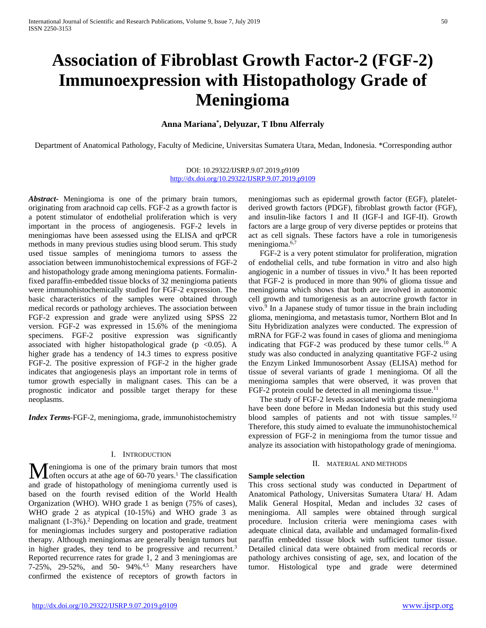# **Association of Fibroblast Growth Factor-2 (FGF-2) Immunoexpression with Histopathology Grade of Meningioma**

## **Anna Mariana\* , Delyuzar, T Ibnu Alferraly**

Department of Anatomical Pathology, Faculty of Medicine, Universitas Sumatera Utara, Medan, Indonesia. \*Corresponding author

## DOI: 10.29322/IJSRP.9.07.2019.p9109 <http://dx.doi.org/10.29322/IJSRP.9.07.2019.p9109>

*Abstract***-** Meningioma is one of the primary brain tumors, originating from arachnoid cap cells. FGF-2 as a growth factor is a potent stimulator of endothelial proliferation which is very important in the process of angiogenesis. FGF-2 levels in meningiomas have been assessed using the ELISA and qrPCR methods in many previous studies using blood serum. This study used tissue samples of meningioma tumors to assess the association between immunohistochemical expressions of FGF-2 and histopathology grade among meningioma patients. Formalinfixed paraffin-embedded tissue blocks of 32 meningioma patients were immunohistochemically studied for FGF-2 expression. The basic characteristics of the samples were obtained through medical records or pathology archieves. The association between FGF-2 expression and grade were anylized using SPSS 22 version. FGF-2 was expressed in 15.6% of the meningioma specimens. FGF-2 positive expression was significantly associated with higher histopathological grade ( $p < 0.05$ ). A higher grade has a tendency of 14.3 times to express positive FGF-2. The positive expression of FGF-2 in the higher grade indicates that angiogenesis plays an important role in terms of tumor growth especially in malignant cases. This can be a prognostic indicator and possible target therapy for these neoplasms.

*Index Terms*-FGF-2, meningioma, grade, immunohistochemistry

## I. INTRODUCTION

Meningioma is one of the primary brain tumors that most<br>offer occurs at athe age of 60-70 years.<sup>1</sup> The classification often occurs at athe age of  $60-70$  years.<sup>1</sup> The classification and grade of histopathology of meningioma currently used is based on the fourth revised edition of the World Health Organization (WHO). WHO grade 1 as benign (75% of cases), WHO grade 2 as atypical (10-15%) and WHO grade 3 as malignant  $(1-3\%)$ .<sup>2</sup> Depending on location and grade, treatment for meningiomas includes surgery and postoperative radiation therapy. Although meningiomas are generally benign tumors but in higher grades, they tend to be progressive and recurrent.<sup>3</sup> Reported recurrence rates for grade 1, 2 and 3 meningiomas are 7-25%, 29-52%, and 50- 94%. 4,5 Many researchers have confirmed the existence of receptors of growth factors in

meningiomas such as epidermal growth factor (EGF), plateletderived growth factors (PDGF), fibroblast growth factor (FGF), and insulin-like factors I and II (IGF-I and IGF-II). Growth factors are a large group of very diverse peptides or proteins that act as cell signals. These factors have a role in tumorigenesis meningioma.6,7

FGF-2 is a very potent stimulator for proliferation, migration of endothelial cells, and tube formation in vitro and also high angiogenic in a number of tissues in vivo.<sup>8</sup> It has been reported that FGF-2 is produced in more than 90% of glioma tissue and meningioma which shows that both are involved in autonomic cell growth and tumorigenesis as an autocrine growth factor in vivo.9 In a Japanese study of tumor tissue in the brain including glioma, meningioma, and metastasis tumor, Northern Blot and In Situ Hybridization analyzes were conducted. The expression of mRNA for FGF-2 was found in cases of glioma and meningioma indicating that FGF-2 was produced by these tumor cells.10 A study was also conducted in analyzing quantitative FGF-2 using the Enzym Linked Immunosorbent Assay (ELISA) method for tissue of several variants of grade 1 meningioma. Of all the meningioma samples that were observed, it was proven that FGF-2 protein could be detected in all meningioma tissue.<sup>11</sup>

The study of FGF-2 levels associated with grade meningioma have been done before in Medan Indonesia but this study used blood samples of patients and not with tissue samples.<sup>12</sup> Therefore, this study aimed to evaluate the immunohistochemical expression of FGF-2 in meningioma from the tumor tissue and analyze its association with histopathology grade of meningioma.

#### II. MATERIAL AND METHODS

## **Sample selection**

This cross sectional study was conducted in Department of Anatomical Pathology, Universitas Sumatera Utara/ H. Adam Malik General Hospital, Medan and includes 32 cases of meningioma. All samples were obtained through surgical procedure. Inclusion criteria were meningioma cases with adequate clinical data, available and undamaged formalin-fixed paraffin embedded tissue block with sufficient tumor tissue. Detailed clinical data were obtained from medical records or pathology archives consisting of age, sex, and location of the tumor. Histological type and grade were determined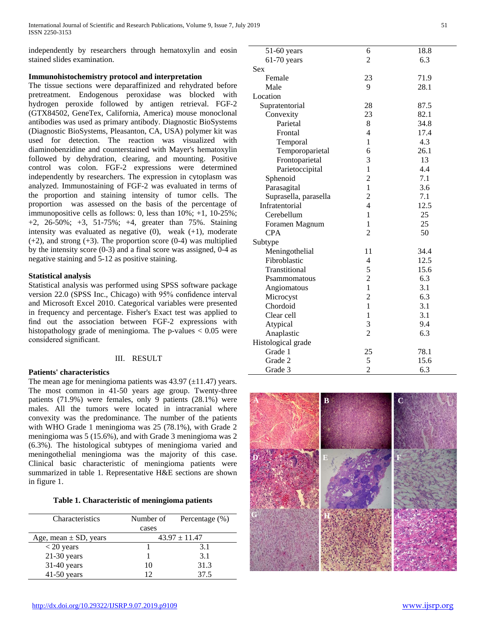independently by researchers through hematoxylin and eosin stained slides examination.

## **Immunohistochemistry protocol and interpretation**

The tissue sections were deparaffinized and rehydrated before pretreatment. Endogenous peroxidase was blocked with hydrogen peroxide followed by antigen retrieval. FGF-2 (GTX84502, GeneTex, California, America) mouse monoclonal antibodies was used as primary antibody. Diagnostic BioSystems (Diagnostic BioSystems, Pleasanton, CA, USA) polymer kit was used for detection. The reaction was visualized with diaminobenzidine and counterstained with Mayer's hematoxylin followed by dehydration, clearing, and mounting. Positive control was colon. FGF-2 expressions were determined independently by researchers. The expression in cytoplasm was analyzed. Immunostaining of FGF-2 was evaluated in terms of the proportion and staining intensity of tumor cells. The proportion was assessed on the basis of the percentage of immunopositive cells as follows: 0, less than 10%; +1, 10-25%; +2, 26-50%; +3, 51-75%; +4, greater than 75%. Staining intensity was evaluated as negative  $(0)$ , weak  $(+1)$ , moderate  $(+2)$ , and strong  $(+3)$ . The proportion score  $(0-4)$  was multiplied by the intensity score (0-3) and a final score was assigned, 0-4 as negative staining and 5-12 as positive staining.

## **Statistical analysis**

Statistical analysis was performed using SPSS software package version 22.0 (SPSS Inc., Chicago) with 95% confidence interval and Microsoft Excel 2010. Categorical variables were presented in frequency and percentage. Fisher's Exact test was applied to find out the association between FGF-2 expressions with histopathology grade of meningioma. The p-values < 0.05 were considered significant.

## III. RESULT

## **Patients' characteristics**

The mean age for meningioma patients was  $43.97 \left(\pm 11.47\right)$  years. The most common in 41-50 years age group. Twenty-three patients (71.9%) were females, only 9 patients (28.1%) were males. All the tumors were located in intracranial where convexity was the predominance. The number of the patients with WHO Grade 1 meningioma was 25 (78.1%), with Grade 2 meningioma was 5 (15.6%), and with Grade 3 meningioma was 2 (6.3%). The histological subtypes of meningioma varied and meningothelial meningioma was the majority of this case. Clinical basic characteristic of meningioma patients were summarized in table 1. Representative H&E sections are shown in figure 1.

| Characteristics           | Number of         | Percentage $(\% )$ |  |
|---------------------------|-------------------|--------------------|--|
|                           | cases             |                    |  |
| Age, mean $\pm$ SD, years | $43.97 \pm 11.47$ |                    |  |
| $< 20$ years              |                   | 3.1                |  |
| $21-30$ years             |                   | 3.1                |  |
| 31-40 years               | 10                | 31.3               |  |
| $41-50$ years             |                   | 37.5               |  |

| 51-60 years           | 6              | 18.8 |
|-----------------------|----------------|------|
| $61-70$ years         | $\overline{2}$ | 6.3  |
| Sex                   |                |      |
| Female                | 23             | 71.9 |
| Male                  | 9              | 28.1 |
| Location              |                |      |
| Supratentorial        | 28             | 87.5 |
| Convexity             | 23             | 82.1 |
| Parietal              | 8              | 34.8 |
| Frontal               | 4              | 17.4 |
| Temporal              | 1              | 4.3  |
| Temporoparietal       | 6              | 26.1 |
| Frontoparietal        | 3              | 13   |
| Parietoccipital       | $\mathbf{1}$   | 4.4  |
| Sphenoid              | $\overline{c}$ | 7.1  |
| Parasagital           | $\mathbf{1}$   | 3.6  |
| Suprasella, parasella | $\overline{c}$ | 7.1  |
| Infratentorial        | 4              | 12.5 |
| Cerebellum            | 1              | 25   |
| Foramen Magnum        | 1              | 25   |
| <b>CPA</b>            | $\overline{2}$ | 50   |
| Subtype               |                |      |
| Meningothelial        | 11             | 34.4 |
| Fibroblastic          | 4              | 12.5 |
| Transtitional         | 5              | 15.6 |
| Psammomatous          | $\overline{c}$ | 6.3  |
| Angiomatous           | 1              | 3.1  |
| Microcyst             | $\overline{c}$ | 6.3  |
| Chordoid              | $\mathbf{1}$   | 3.1  |
| Clear cell            | 1              | 3.1  |
| Atypical              | 3              | 9.4  |
| Anaplastic            | $\overline{2}$ | 6.3  |
| Histological grade    |                |      |
| Grade 1               | 25             | 78.1 |
| Grade 2               | 5              | 15.6 |
| Grade 3               | $\overline{2}$ | 6.3  |

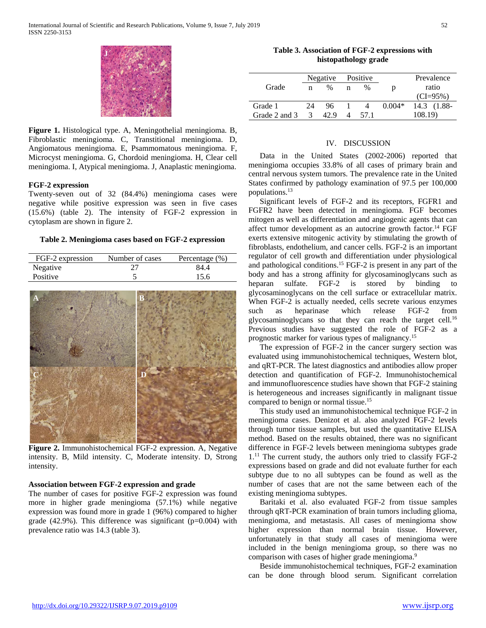**Figure 1.** Histological type. A, Meningothelial meningioma. B, Fibroblastic meningioma. C, Transtitional meningioma. D, Angiomatous meningioma. E, Psammomatous meningioma. F, Microcyst meningioma. G, Chordoid meningioma. H, Clear cell meningioma. I, Atypical meningioma. J, Anaplastic meningioma.

#### **FGF-2 expression**

Twenty-seven out of 32 (84.4%) meningioma cases were negative while positive expression was seen in five cases (15.6%) (table 2). The intensity of FGF-2 expression in cytoplasm are shown in figure 2.

#### **Table 2. Meningioma cases based on FGF-2 expression**

| FGF-2 expression | Number of cases | Percentage $(\% )$ |
|------------------|-----------------|--------------------|
| Negative         |                 | 84.4               |
| Positive         |                 | 15.6               |



**Figure 2.** Immunohistochemical FGF-2 expression. A, Negative intensity. B, Mild intensity. C, Moderate intensity. D, Strong intensity.

## **Association between FGF-2 expression and grade**

The number of cases for positive FGF-2 expression was found more in higher grade meningioma (57.1%) while negative expression was found more in grade 1 (96%) compared to higher grade  $(42.9\%)$ . This difference was significant  $(p=0.004)$  with prevalence ratio was 14.3 (table 3).

**Table 3. Association of FGF-2 expressions with histopathology grade**

|               |               | Negative |   | Positive |          | Prevalence    |
|---------------|---------------|----------|---|----------|----------|---------------|
| Grade         | n             | $\%$     | n | $\%$     | n        | ratio         |
|               |               |          |   |          |          | $(CI = 95\%)$ |
| Grade 1       | 24            | 96.      |   |          | $0.004*$ | 14.3 (1.88-   |
| Grade 2 and 3 | $\mathcal{R}$ | 42.9     |   | 57.1     |          | 108.19)       |

### IV. DISCUSSION

Data in the United States (2002-2006) reported that meningioma occupies 33.8% of all cases of primary brain and central nervous system tumors. The prevalence rate in the United States confirmed by pathology examination of 97.5 per 100,000 populations. 13

Significant levels of FGF-2 and its receptors, FGFR1 and FGFR2 have been detected in meningioma. FGF becomes mitogen as well as differentiation and angiogenic agents that can affect tumor development as an autocrine growth factor.14 FGF exerts extensive mitogenic activity by stimulating the growth of fibroblasts, endothelium, and cancer cells. FGF-2 is an important regulator of cell growth and differentiation under physiological and pathological conditions.15 FGF-2 is present in any part of the body and has a strong affinity for glycosaminoglycans such as heparan sulfate. FGF-2 is stored by binding to glycosaminoglycans on the cell surface or extracellular matrix. When FGF-2 is actually needed, cells secrete various enzymes such as heparinase which release FGF-2 from glycosaminoglycans so that they can reach the target cell.<sup>16</sup> Previous studies have suggested the role of FGF-2 as a prognostic marker for various types of malignancy.15

The expression of FGF-2 in the cancer surgery section was evaluated using immunohistochemical techniques, Western blot, and qRT-PCR. The latest diagnostics and antibodies allow proper detection and quantification of FGF-2. Immunohistochemical and immunofluorescence studies have shown that FGF-2 staining is heterogeneous and increases significantly in malignant tissue compared to benign or normal tissue.<sup>15</sup>

This study used an immunohistochemical technique FGF-2 in meningioma cases. Denizot et al. also analyzed FGF-2 levels through tumor tissue samples, but used the quantitative ELISA method. Based on the results obtained, there was no significant difference in FGF-2 levels between meningioma subtypes grade  $1<sup>11</sup>$  The current study, the authors only tried to classify FGF-2 expressions based on grade and did not evaluate further for each subtype due to no all subtypes can be found as well as the number of cases that are not the same between each of the existing meningioma subtypes.

Baritaki et al. also evaluated FGF-2 from tissue samples through qRT-PCR examination of brain tumors including glioma, meningioma, and metastasis. All cases of meningioma show higher expression than normal brain tissue. However, unfortunately in that study all cases of meningioma were included in the benign meningioma group, so there was no comparison with cases of higher grade meningioma.<sup>9</sup>

Beside immunohistochemical techniques, FGF-2 examination can be done through blood serum. Significant correlation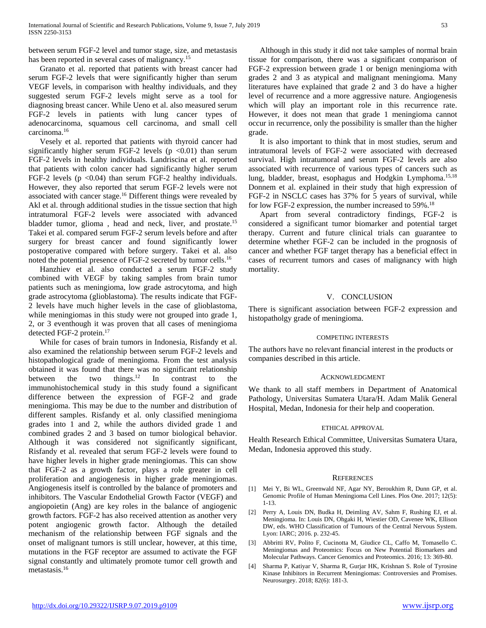between serum FGF-2 level and tumor stage, size, and metastasis has been reported in several cases of malignancy.<sup>15</sup>

Granato et al. reported that patients with breast cancer had serum FGF-2 levels that were significantly higher than serum VEGF levels, in comparison with healthy individuals, and they suggested serum FGF-2 levels might serve as a tool for diagnosing breast cancer. While Ueno et al. also measured serum FGF-2 levels in patients with lung cancer types of adenocarcinoma, squamous cell carcinoma, and small cell carcinoma.16

Vesely et al. reported that patients with thyroid cancer had significantly higher serum FGF-2 levels ( $p \le 0.01$ ) than serum FGF-2 levels in healthy individuals. Landriscina et al. reported that patients with colon cancer had significantly higher serum FGF-2 levels  $(p \le 0.04)$  than serum FGF-2 healthy individuals. However, they also reported that serum FGF-2 levels were not associated with cancer stage.16 Different things were revealed by Akl et al. through additional studies in the tissue section that high intratumoral FGF-2 levels were associated with advanced bladder tumor, glioma, head and neck, liver, and prostate.<sup>15</sup> Takei et al. compared serum FGF-2 serum levels before and after surgery for breast cancer and found significantly lower postoperative compared with before surgery. Takei et al. also noted the potential presence of FGF-2 secreted by tumor cells.16

Hanzhiev et al. also conducted a serum FGF-2 study combined with VEGF by taking samples from brain tumor patients such as meningioma, low grade astrocytoma, and high grade astrocytoma (glioblastoma). The results indicate that FGF-2 levels have much higher levels in the case of glioblastoma, while meningiomas in this study were not grouped into grade 1, 2, or 3 eventhough it was proven that all cases of meningioma detected FGF-2 protein.<sup>17</sup>

While for cases of brain tumors in Indonesia, Risfandy et al. also examined the relationship between serum FGF-2 levels and histopathological grade of meningioma. From the test analysis obtained it was found that there was no significant relationship between the two things.<sup>12</sup> In contrast to the immunohistochemical study in this study found a significant difference between the expression of FGF-2 and grade meningioma. This may be due to the number and distribution of different samples. Risfandy et al. only classified meningioma grades into 1 and 2, while the authors divided grade 1 and combined grades 2 and 3 based on tumor biological behavior. Although it was considered not significantly significant, Risfandy et al. revealed that serum FGF-2 levels were found to have higher levels in higher grade meningiomas. This can show that FGF-2 as a growth factor, plays a role greater in cell proliferation and angiogenesis in higher grade meningiomas. Angiogenesis itself is controlled by the balance of promoters and inhibitors. The Vascular Endothelial Growth Factor (VEGF) and angiopoietin (Ang) are key roles in the balance of angiogenic growth factors. FGF-2 has also received attention as another very potent angiogenic growth factor. Although the detailed mechanism of the relationship between FGF signals and the onset of malignant tumors is still unclear, however, at this time, mutations in the FGF receptor are assumed to activate the FGF signal constantly and ultimately promote tumor cell growth and metastasis.16

Although in this study it did not take samples of normal brain tissue for comparison, there was a significant comparison of FGF-2 expression between grade 1 or benign meningioma with grades 2 and 3 as atypical and malignant meningioma. Many literatures have explained that grade 2 and 3 do have a higher level of recurrence and a more aggressive nature. Angiogenesis which will play an important role in this recurrence rate. However, it does not mean that grade 1 meningioma cannot occur in recurrence, only the possibility is smaller than the higher grade.

It is also important to think that in most studies, serum and intratumoral levels of FGF-2 were associated with decreased survival. High intratumoral and serum FGF-2 levels are also associated with recurrence of various types of cancers such as lung, bladder, breast, esophagus and Hodgkin Lymphoma.<sup>15,18</sup> Donnem et al. explained in their study that high expression of FGF-2 in NSCLC cases has 37% for 5 years of survival, while for low FGF-2 expression, the number increased to 59%.<sup>18</sup>

Apart from several contradictory findings, FGF-2 is considered a significant tumor biomarker and potential target therapy. Current and future clinical trials can guarantee to determine whether FGF-2 can be included in the prognosis of cancer and whether FGF target therapy has a beneficial effect in cases of recurrent tumors and cases of malignancy with high mortality.

### V. CONCLUSION

There is significant association between FGF-2 expression and histopatholgy grade of meningioma.

#### COMPETING INTERESTS

The authors have no relevant financial interest in the products or companies described in this article.

#### ACKNOWLEDGMENT

We thank to all staff members in Department of Anatomical Pathology, Universitas Sumatera Utara/H. Adam Malik General Hospital, Medan, Indonesia for their help and cooperation.

#### ETHICAL APPROVAL

Health Research Ethical Committee, Universitas Sumatera Utara, Medan, Indonesia approved this study.

#### **REFERENCES**

- [1] Mei Y, Bi WL, Greenwald NF, Agar NY, Beroukhim R, Dunn GP, et al. Genomic Profile of Human Meningioma Cell Lines. Plos One. 2017; 12(5): 1-13.
- [2] Perry A, Louis DN, Budka H, Deimling AV, Sahm F, Rushing EJ, et al. Meningioma. In: Louis DN, Ohgaki H, Wiestier OD, Cavenee WK, Ellison DW, eds. WHO Classification of Tumours of the Central Nervous System. Lyon: IARC; 2016. p. 232-45.
- [3] Abbritti RV, Polito F, Cucinotta M, Giudice CL, Caffo M, Tomasello C. Meningiomas and Proteomics: Focus on New Potential Biomarkers and Molecular Pathways. Cancer Genomics and Proteomics. 2016; 13: 369-80.
- [4] Sharma P, Katiyar V, Sharma R, Gurjar HK, Krishnan S. Role of Tyrosine Kinase Inhibitors in Recurrent Meningiomas: Controversies and Promises. Neurosurgey. 2018; 82(6): 181-3.